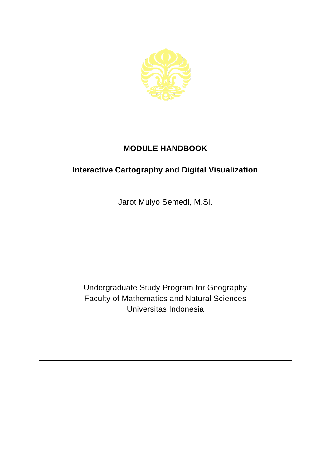

## **MODULE HANDBOOK**

## **Interactive Cartography and Digital Visualization**

Jarot Mulyo Semedi, M.Si.

Undergraduate Study Program for Geography Faculty of Mathematics and Natural Sciences Universitas Indonesia